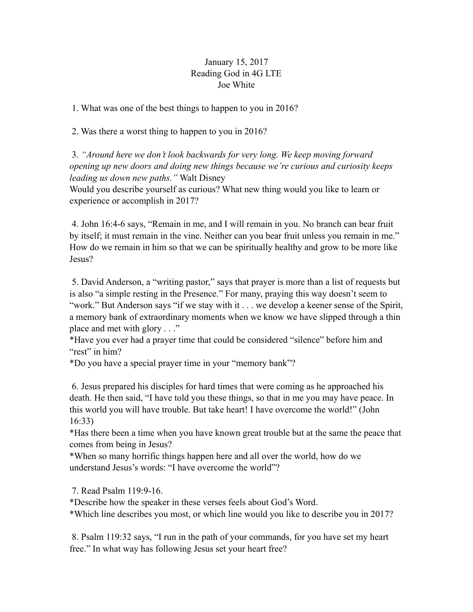## January 15, 2017 Reading God in 4G LTE Joe White

1. What was one of the best things to happen to you in 2016?

2. Was there a worst thing to happen to you in 2016?

 3. *"Around here we don't look backwards for very long. We keep moving forward opening up new doors and doing new things because we're curious and curiosity keeps leading us down new paths."* Walt Disney

Would you describe yourself as curious? What new thing would you like to learn or experience or accomplish in 2017?

 4. John 16:4-6 says, "Remain in me, and I will remain in you. No branch can bear fruit by itself; it must remain in the vine. Neither can you bear fruit unless you remain in me." How do we remain in him so that we can be spiritually healthy and grow to be more like Jesus?

 5. David Anderson, a "writing pastor," says that prayer is more than a list of requests but is also "a simple resting in the Presence." For many, praying this way doesn't seem to "work." But Anderson says "if we stay with it . . . we develop a keener sense of the Spirit, a memory bank of extraordinary moments when we know we have slipped through a thin place and met with glory . . ."

\*Have you ever had a prayer time that could be considered "silence" before him and "rest" in him?

\*Do you have a special prayer time in your "memory bank"?

 6. Jesus prepared his disciples for hard times that were coming as he approached his death. He then said, "I have told you these things, so that in me you may have peace. In this world you will have trouble. But take heart! I have overcome the world!" (John 16:33)

\*Has there been a time when you have known great trouble but at the same the peace that comes from being in Jesus?

\*When so many horrific things happen here and all over the world, how do we understand Jesus's words: "I have overcome the world"?

7. Read Psalm 119:9-16.

\*Describe how the speaker in these verses feels about God's Word.

\*Which line describes you most, or which line would you like to describe you in 2017?

 8. Psalm 119:32 says, "I run in the path of your commands, for you have set my heart free." In what way has following Jesus set your heart free?